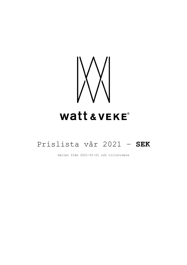

# Prislista vår 2021 – **SEK**

Gäller från 2021-01-01 och tillsvidare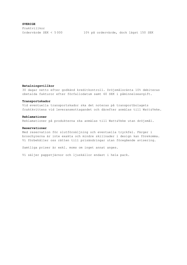**SVERIGE** Fraktvillkor

#### **Betalningsvillkor**

30 dagar netto efter godkänd kreditkontroll. Dröjsmålsränta 10% debiteras obetalda fakturor efter förfallodatum samt 60 SEK i påminnelseavgift.

### **Transportskador**

Vid eventuella transportskador ska det noteras på transportbolagets fraktkvittens vid leveransmottagandet och därefter anmälas till Watt&Veke.

#### **Reklamationer**

Reklamationer på produkterna ska anmälas till Watt&Veke utan dröjsmål.

#### **Reservationer**

Med reservation för slutförsäljning och eventuella tryckfel. Färger i broschyrerna är inte exakta och mindre skillnader i design kan förekomma. Vi förbehåller oss rätten till prisändringar utan föregående avisering.

Samtliga priser är exkl. moms om inget annat anges.

Vi säljer pappstjärnor och ljuskällor endast i hela pack.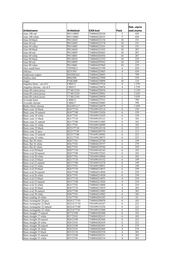|                                                      |                        |                                |                     | Rek. utpris |
|------------------------------------------------------|------------------------|--------------------------------|---------------------|-------------|
| Artikelnamn                                          | <b>Artikelkod</b>      | <b>EAN-kod</b>                 | Pack                | exkl.moms   |
| Aino 100 red                                         | P01110095              | 7340044228330                  | 5                   | 439         |
| Aino 100 white                                       | P01110001              | 7340044228323                  | 5                   | 439         |
| Aino 44 black                                        | P0114410               | 7340044222154                  | 10                  | 151         |
| Aino 44 red                                          | P0114495               | 7340044222178                  | 10                  | 151         |
| Aino 44 white                                        | P0114401               | 7340044222161                  | 10                  | 151         |
| Aino 60 black                                        | P0116010               | 7340044222185                  | 10                  | 207         |
| Aino 60 red                                          | P0116095               | 7340044203863                  | 10                  | 207         |
| Aino 60 white                                        | P0116001               | 7340044203856                  | 10                  | 207         |
| Aino 80 black                                        | P0118010               | 7340044222192                  | 10                  | 239         |
| Aino $80$ red<br>Aino 80 white                       | P0118095<br>P0118001   | 7340044207052<br>7340044207069 | 10                  | 239<br>239  |
| Alex small brass                                     | T5070812               | 7340044221799                  | 10<br>4             | 439         |
| Alfonso                                              | B251505                | 7340044225865                  | $\overline{4}$      | 439         |
| Andersson copper                                     | B56568A62              | 7340044220693                  | 1                   | 799         |
| Andrea clear                                         | B962500                | 7340044227098                  | 4                   | 559         |
| Angel                                                | P1061000               | 7340044230098                  | 10                  | 119         |
| Angelica brass - set of 4                            | CH0513                 | 7340044227524                  | $\overline{4}$      | 1 2 7 9     |
| Angelica chrome - set of 4                           | CH0517                 | 7340044229078                  | 4                   | 1 2 7 9     |
| Anna 40 cotton jersey                                | T7/40/12/01            | 7340044228934                  | 1                   | 2 1 5 9     |
| Anna 60 cotton jersey                                | T7/60/12/01            | 7340044228941                  | 1                   | 2639        |
| Anna 80 cotton jersey                                | T7/80/12/01            | 7340044228958                  | 1                   | 3 0 3 9     |
| Avocado brass                                        | CH0613                 | 7340044227531                  | $\overline{2}$      | 799         |
| Avocado chrome                                       | CH0617                 | 7340044229085                  | $\overline{2}$      | 799         |
| Bailey black chrome<br>Basic cone 18 black           | B16305A17              | 7340044226879                  | 2<br>6              | 1 0 3 9     |
| Basic cone 18 natural                                | B18/77/10<br>B18/77/00 | 7391699145114<br>7391699121026 | 6                   | 159<br>159  |
| Basic cone 18 white                                  | B18/77/01              | 7391699121019                  | 6                   | 159         |
| Basic cone 21 black                                  | B21/77/10              | 7391699145121                  | 6                   | 183         |
| Basic cone 21 natural                                | B21/77/00              | 7391699121002                  | 6                   | 183         |
| Basic cone 21 white                                  | B21/77/01              | 7391699120999                  | 6                   | 183         |
| Basic cone 23 black                                  | B223/77/10             | 7391699145138                  | 6                   | 223         |
| Basic cone 23 grey                                   | B223/77/05             | 7340044209759                  | 6                   | 111         |
| Basic cone 23 natural                                | B223/77/00             | 7391699120982                  | 6                   | 223         |
| Basic cone 23 white                                  | B223/77/01             | 7391699120975                  | 6                   | 223         |
| Basic flat 30 white                                  | B30/77/01              | 7340044229740                  | 6                   | 199         |
| Basic flat 36 white                                  | B36/77/01              | 7340044229757                  | 6                   | 279         |
| Basic flat 42 white<br>Basic oval 20 black           | B42/77/01<br>B20/77/10 | 7340044229764                  | 6<br>6              | 359<br>183  |
| Basic oval 20 natural                                | B20/77/00              | 7391699145145<br>7391699153263 | 6                   | 183         |
| Basic oval 20 white                                  | B20/77/01              | 7391699120968                  | 6                   | 183         |
| Basic oval 23 black                                  | B23/77/10              | 7391699145152                  | 6                   | 199         |
| Basic oval 23 natural                                | B23/77/00              | 7391699153270                  | 6                   | 199         |
| Basic oval 23 white                                  | B23/77/01              | 7391699120951                  | 6                   | 199         |
| Basic oval 26 black                                  | B26/77/10              | 7340044214913                  | 6                   | 239         |
| Basic oval 26 natural                                | B26/77/00              | 7340044214944                  | 6                   | 239         |
| Basic oval 26 white                                  | B26/77/01              | 7340044214920                  | 6                   | 239         |
| Basic oval 33 black                                  | B33/77/10              | 7340044214951                  | $\overline{4}$      | 319         |
| Basic oval 33 natural                                | B33/77/00              | 7340044215026                  | 4                   | 319         |
| Basic oval 33 white                                  | B33/77/01              | 7340044214968                  | 4                   | 319         |
| Basic oval 38 black<br>Basic oval 38 natural         | B38/77/10<br>B38/77/00 | 7340044215019                  | $\overline{4}$<br>4 | 383         |
| Basic oval 38 white                                  | B38/77/01              | 7340044215002<br>7340044214982 | 4                   | 383<br>383  |
| Basic reading 16 white                               | G16/77/01              | 7340044202385                  | 6                   | 63          |
| Basic rectangular 20 grey                            | B2012/77/05            | 7340044209858                  | 6                   | 103         |
| Basic rectangular 22 black                           | B2214/77/10            | 7391699145107                  | 6                   | 223         |
| Basic rectangular 22 natural                         | B2214/77/00            | 7391699153256                  | 6                   | 223         |
| Basic rectangular 22 white                           | B2214/77/01            | 7391699121040                  | 6                   | 223         |
| Basic straight 17 natural                            | B17/23/00              | 7340044202408                  | 6                   | 183         |
| Basic straight 17 white                              | B17/23/01              | 7340044202415                  | 6                   | 183         |
| Basic straight 20 natural                            | B20/23/00              | 7340044202446                  | 6                   | 223         |
| Basic straight 20 white                              | B20/23/01              | 7340044202439                  | 6                   | 223         |
| Basic straight 28 natural                            | B28/23/00              | 7340044202491                  | $\overline{4}$      | 279         |
| Basic straight 28 white                              | B28/23/01              | 7340044202484                  | 4                   | 279         |
| Basic straight 33 black                              | B33/23/10              | 7340044202538                  | $\overline{4}$      | 383         |
| Basic straight 33 natural<br>Basic straight 33 white | B33/23/00<br>B33/23/01 | 7340044202521<br>7340044202514 | $\overline{4}$<br>4 | 383<br>383  |
|                                                      |                        |                                |                     |             |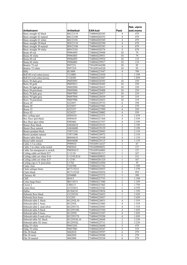|                                                              |                      |                                |                              | Rek. utpris        |
|--------------------------------------------------------------|----------------------|--------------------------------|------------------------------|--------------------|
| Artikelnamn                                                  | Artikelkod           | EAN-kod                        | Pack                         | exkl.moms          |
| Basic straight 42 black                                      | B42/23/10            | 7340044202545                  | 4                            | 479                |
| Basic straight 42 natural                                    | B42/23/00            | 7340044202552                  | 4                            | 479                |
| Basic straight 42 white                                      | B42/23/01            | 7340044202569                  | 4                            | 479                |
| Basic straight 50 black                                      | B50/23/10            | 7340044202590                  | $\overline{4}$               | 679                |
| Basic straight 50 natural                                    | B50/23/00            | 7340044202583                  | 4                            | 679                |
| Basic straight 50 white                                      | B50/23/01            | 7340044202576                  | $\overline{4}$               | 679                |
| Beata 44 red                                                 | P0964495             | 7340044229948                  | 10                           | 79                 |
| Beata 44 white                                               | P0964401             | 7340044229931                  | 10                           | 79                 |
| Beata 60 red<br>Beata 60 white                               | P0966095<br>P0966001 | 7340044229924                  | 10<br>10                     | 119<br>119         |
| Beatrix 72 red                                               | P057231              | 7340044229917<br>7391699164290 | 10                           | 95                 |
| Beatrix 72 white                                             | P057210              | 7391699164320                  | 10                           | 95                 |
| <b>Billy</b>                                                 | B13809               | 7340044227647                  | $\overline{4}$               | 799                |
| Boll 40 oval cotton jersey                                   | T124001              | 7340044223830                  | $\mathbf{1}$                 | 1 3 5 9            |
| Boll 65 oval cotton jersey                                   | T126501              | 7340044223847                  | 1                            | 1839               |
| Boris 50 dark grey                                           | P0695093             | 7340044228392                  | 10                           | 239                |
| Boris 50 gold                                                | P0695011             | 7340044228385                  | 10                           | 239                |
| Boris 50 light grey                                          | P0695094             | 7340044228415                  | 10                           | 239                |
| Boris 50 petrolium                                           | P0695096             | 7340044228408                  | 10                           | 239                |
| Boris 70 dark grey                                           | P0697093             | 7340044228477                  | 10                           | 319                |
| Boris 70 light grey                                          | P0697094             | 7340044228439                  | 10                           | 319                |
| Boris 70 petrolium                                           | P0697096             | 7340044228453                  | 10                           | 319                |
| Bosse 20                                                     | S222057              | 7340044229733                  | 6                            | 199                |
| Bosse 28                                                     | S222857              | 7340044227982                  | $\overline{4}$               | 279                |
| Bosse 33                                                     | S223357              | 7340044227999                  | $\overline{\mathbf{4}}$      | 359                |
| Bosse 42                                                     | S224257              | 7340044228002                  | 4                            | 559                |
| Box ceiling spot                                             | HW0510<br>HW0410     | 7340044227371<br>7340044227364 | 4<br>$\overline{\mathbf{4}}$ | 1679<br>2 5 5 9    |
| Box floor spot black<br>Box floor spot white                 | HW0401               | 7340044227357                  | $\overline{4}$               | 2 5 5 9            |
| <b>Buster floor black</b>                                    | G6844610             | 7340044229122                  | $\overline{c}$               | $2\overline{199}$  |
| Buster floor natural                                         | G6844600             | 7340044229139                  | $\overline{2}$               | 2 1 9 9            |
| Buster pendant black                                         | T5871310             | 7340044228965                  | $\overline{c}$               | 2 1 1 9            |
| Buster pendant natural                                       | T5871300             | 7340044228972                  | $\overline{c}$               | 2 1 1 9            |
| <b>Buster</b> table black                                    | B6844610             | 7340044229108                  | $\overline{4}$               | 1 1 1 9            |
| Buster table natural                                         | B6844600             | 7340044229115                  | $\overline{4}$               | 1 1 1 9            |
| Cable 3.5 m white                                            | P999910              | 7391699116527                  | 1                            | 87                 |
| Cable 5 m white with switch                                  | P885010              | 7391699099851                  | $\mathbf{1}$                 | 127                |
| Cable 5m transparent w.switch                                | P885010-T            | 7391699166003                  | $\mathbf{1}$                 | 127                |
| Ceiling cable set black E27                                  | U/13/10              | 7340044201517                  | 1                            | 167                |
| Ceiling cable set white E14                                  | U/13/01/E14          | 7340044209032                  | $\mathbf{1}$                 | 151                |
| Ceiling cable set white E27<br>Ceiling cup cl. ll /porcelain | U/13/01<br>U1702     | 7340044201524<br>7340044216504 | $\mathbf{1}$<br>1            | 167<br>39          |
| Cindy clear                                                  | T102500              | 7340044223762                  | 1                            | 1 5 9 9            |
| Claire antique brass                                         | B17115212            | 7340044226923                  | 2                            | 1 2 7 9            |
| Claire black                                                 | B17115210            | 7340044226916                  | 2                            | 959                |
| Clarence 40                                                  | S594000              | 7340044227272                  | $\mathbf{1}$                 | 399                |
| Cliff                                                        | B <sub>1013</sub>    | 7340044227753                  | 1                            | 1 1 9 9            |
| Como large brass                                             | B0114513             | 7340044217686                  | 2                            | 1 3 5 9            |
| Crown 3                                                      | CH0113               | 7340044227463                  | $\overline{c}$               | 1759               |
| Curtis floor                                                 | G1553412             | 7340044223342                  | 1                            | 4 5 5 9            |
| Dallas                                                       | B1584210             | 7340044229054                  | 4                            | 1 3 5 9            |
| Deborah floor black                                          | G1229310             | 7340044226855                  | $\mathbf{1}$                 | 3 4 3 9            |
| Deborah floor brass                                          | G12293               | 7340044224837                  | 1                            | 3 4 3 9            |
| Deborah table L black                                        | B12293L10            | 7340044226831                  | 4                            | 1519               |
| Deborah table L brass<br>Deborah table L matt silver         | B12293L<br>B1229317L | 7340044223403<br>7340044229283 | $\overline{4}$<br>4          | 1 5 1 9<br>1 5 1 9 |
| Deborah table S black                                        | B1229310S            | 7340044225544                  | 4                            | $1\overline{039}$  |
| Deborah table S brass                                        | B12293S              | 7340044223397                  | $\overline{4}$               | 1 0 3 9            |
| Deborah table S matt silver                                  | B1229317S            | 7340044229290                  | 4                            | 1 0 3 9            |
| Deborah table XL black                                       | B12293XL10           | 7340044226848                  | 2                            | 2 2 3 9            |
| Deborah table XL brass                                       | B12293XL             | 7340044225711                  | $\mathfrak{2}$               | 2 2 3 9            |
| Eldig 52 white                                               | P0655201             | 7340044226688                  | 5                            | 479                |
| Eldig 70 white                                               | P0657001             | 7340044228347                  | 5                            | 519                |
| Ella 20 black                                                | S062010              | 7340044229597                  | 6                            | 279                |
| Ella 20 mole                                                 | S062030              | 7340044229580                  | 6                            | 279                |
| Ella 20 natural                                              | S062000              | 7340044229238                  | 6                            | 279                |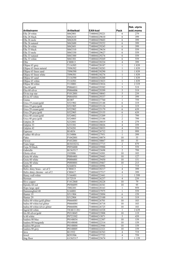|                                                 |                      |                                |                | Rek. utpris  |
|-------------------------------------------------|----------------------|--------------------------------|----------------|--------------|
| Artikelnamn                                     | Artikelkod           | EAN-kod                        | Pack           | exkl.moms    |
| Ella 20 white                                   | S062001              | 7340044229221                  | 6              | 279          |
| Ella 26 black                                   | S062610              | 7340044229610                  | 6              | 399          |
| Ella 26 mole                                    | S062630              | 7340044229603                  | 6              | 399          |
| Ella 26 natural                                 | S062600              | 7340044229252                  | 6              | 399          |
| Ella 26 white                                   | S062601              | 7340044229245                  | 6              | 399          |
| Ella 33 black                                   | S063310              | 7340044229634                  | 6              | 559          |
| Ella 33 mole                                    | S063330              | 7340044229627                  | 6              | 559          |
| Ella 33 natural                                 | S063300              | 7340044229276                  | 6              | 559          |
| Ella 33 white                                   | S063301              | 7340044229269                  | 6              | 559          |
| Ellie                                           | CH0813               | 7340044228224                  | 4              | 399          |
| Ellipse 65 grey                                 | T116505              | 7340044228187                  | $\mathbf{1}$   | 1839         |
| Ellipse 65 linen natural                        | T096502              | 7340040230283                  | 1              | 1839         |
| Ellipse 65 linen sand<br>Ellipse 65 linen white | T096590              | 7340040230290                  | 1              | 1839         |
| Ellipse 65 sand                                 | T096501              | 7340040230276<br>7340044228200 | $\mathbf{1}$   | 1839<br>1839 |
| Ellipse 65 white                                | T116590<br>T116501   | 7340044223823                  | 1<br>1         | 1839         |
| Ellipse 80 white                                | T118001              | 7340044223816                  | $\mathbf{1}$   | 2319         |
| Elsa $60$ gold                                  | P0866011             | 7340044229382                  | 5              | 519          |
| Elsa 60 silver                                  | P0866006             | 7340044229399                  | $\overline{5}$ | 519          |
| Elvira top star                                 | P1012001             | 7340044230043                  | 5              | 239          |
| Elvira 45 white                                 | P0844501             | 7340044229337                  | 5              | 399          |
| Emma                                            | B1007                | 7340044227760                  | $\mathbf{1}$   | 759          |
| Erica 19 cream/gold                             | S521902              | 7340044225148                  | 6              | 319          |
| Erica 19 grey/gold                              | S521905              | 7340044225124                  | 6              | 319          |
| Erica 29 cream/gold                             | S522902              | 7340044225179                  | 6              | 639          |
| Erica 29 grey/gold                              | S522905              | 7340044225155                  | 6              | 639          |
| Erica 40 cream/gold                             | S524002              | 7340044225209                  | 2              | 799          |
| Erica 40 grey/gold                              | S524005              | 7340044225186                  | $\overline{2}$ | 799          |
| Esbjörn 28                                      | S232881              | 7340044228019                  | $\overline{4}$ | 279          |
| Esbjörn 33                                      | S233381              | 7340044228026                  | 4              | 359          |
| Esbjörn 42                                      | S234281              | 7340044228033                  | $\overline{4}$ | 559          |
| Espresso                                        | B14854               | 7340044226732                  | $\overline{c}$ | 999          |
| Feather 40 silver                               | S134006              | 7340044227951                  | 1<br>10        | 399          |
| Flake<br>Flower                                 | P1042001<br>P1032001 | 7340044230074<br>7340044230067 | 10             | 55<br>55     |
| Frans large                                     | B1841021L            | 7340044227715                  | $\overline{c}$ | 879          |
| Freja 50 black                                  | P0956000             | 7340044229900                  | 5              | 559          |
| Gabrielle                                       | B1565517             | 7340044225698                  | $\overline{2}$ | 799          |
| Gloria silver                                   | J103006              | 7340044224301                  | 10             | 103          |
| Greta 44 white                                  | P0884401             | 7340044229443                  | 10             | 127          |
| Greta 60 white                                  | P0886001             | 7340044229450                  | 10             | 151          |
| Greta 80 white                                  | P0888001             | 7340044229467                  | 10             | 215          |
| Hathi 40                                        | S244054              | 7340044228996                  | $\mathbf{1}$   | 719          |
| Helix shiny brass - set of 2                    | CH0413               | 7340044228217                  | $\overline{4}$ | 399          |
| Helix shiny chrome - set of 2                   | CH0417               | 7340044227517                  | 4              | 399          |
| Henry wall white                                | V166401              | 7340044223441                  | $\mathbf{1}$   | 1 5 9 9      |
| Herman                                          | J172519              | 7340044226237                  | $\overline{4}$ | 239          |
| Hive copper                                     | F1412868             | 7340044220228                  | 10             | 79           |
| Hjördis 60 red                                  | P0586095             | 7340044226541                  | 10             | 95<br>959    |
| Hope large opal                                 | T002201              | 7340044228163                  | 1              |              |
| Hummingbird 40<br>Hunter 19                     | S144081<br>S511904   | 7340044227975<br>7340044225094 | 1<br>6         | 559<br>159   |
| Hunter <sub>29</sub>                            | S512904              | 7340044225100                  | 6              | 319          |
| Indira 60 white/gold glitter                    | P0666085             | 7340044226701                  | 10             | 103          |
| Indira 60 white/red glitter                     | P0666084             | 7340044226718                  | 10             | 103          |
| Indira 60 white/silver glitter                  | P0666086             | 7340044226725                  | 10             | 103          |
| Ingrid 60 white                                 | T8/60/11/01/         | 7340044216528                  | $\mathbf{1}$   | 2639         |
| Iris 80 silver/gold                             | P0318045             | 7340044223908                  | 10             | 119          |
| Is 60 white                                     | P0723302             | 7340044215071                  | 5              | 439          |
| Isadora 80 blue                                 | P0148054             | 7340044222307                  | 10             | 159          |
| Isadora 80 burgundy                             | P0148048             | 7340044222314                  | 10             | 159          |
| Isadora 80 green                                | P0148004             | 7340044223946                  | 10             | 159          |
| Isadora 80 grey                                 | P0148005             | 7340044222321                  | 10             | 159          |
| Java                                            | B11932               | 7340044226763                  | $\overline{4}$ | 719          |
| Jewel                                           | B293506              | 7340044227722                  | $\overline{4}$ | 759          |
| Jing floor                                      | G1565317             | 7340044225674                  | 2              | 1 1 5 9      |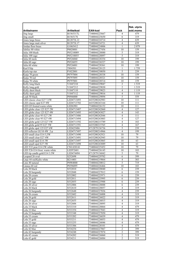|                                                        |                          |                                |                                  | Rek. utpris |
|--------------------------------------------------------|--------------------------|--------------------------------|----------------------------------|-------------|
| Artikelnamn                                            | Artikelkod               | <b>EAN-kod</b>                 | Pack                             | exkl.moms   |
| Jing large                                             | B1565317L                | 7340044225667                  | 4                                | 479         |
| Jing small                                             | B156517S                 | 7340044225650                  | 6                                | 319         |
| Jones large brass                                      | B12873L12                | 7340044224714                  | $\overline{4}$                   | 639         |
| Jones large matt silver                                | B12873L17                | 7340044224721                  | $\overline{4}$                   | 639         |
| Jordan floor brass                                     | G1065412                 | 7340044224806                  | $\mathbf{1}$                     | 2079        |
| Jubilee 80 white                                       | P0028001                 | 7340044227456                  | 10                               | 159         |
| Julia 100 blush                                        | P05210089                | 7340044228880                  | 5                                | 319         |
| Julia 100 sage                                         | P05210055                | 7340044228897                  | 5                                | 319         |
| Julia 60 mole                                          | P0526060                 | 7340044228354                  | 10                               | 199         |
| Julia 60 sage                                          | P0526055                 | 7340044226527                  | 10                               | 199         |
| Julia 60 white<br>Karl Filip                           | P0526001                 | 7340044228361                  | 10                               | 199         |
| Karla top star                                         | T804501<br>P1022001      | 7340044228125<br>7340044230050 | 1<br>$\overline{5}$              | 1759<br>239 |
| Katja 70 green                                         | P0797004                 | 7340044228538                  | 10                               | 159         |
| Katja 70 red                                           | P0797095                 | 7340044228521                  | 10                               | 159         |
| Katja 70 white                                         | P0797001                 | 7340044228514                  | 10                               | 159         |
| Kelly long black                                       | V1047210                 | 7340044229047                  | $\overline{2}$                   | 1519        |
| Kelly long gold                                        | V1047212                 | 7340044229030                  | $\overline{2}$                   | 1519        |
| Kelly short black                                      | V1047110                 | 7340044229023                  | $\overline{4}$                   | 1 1 1 9     |
| Kelly short gold                                       | V1047112                 | 7340044229016                  | $\overline{4}$                   | 1 1 1 9     |
| Leah 50 black                                          | P0946000                 | 7340044229894                  | 5                                | 559         |
| LED classic clear E27 7,5W                             | LED4713493               | 6435200242983                  | 10                               | 111         |
| LED classic opal E27 8W                                | LED4713702               | 6435200243164                  | 10                               | 111         |
| LED G9 frosted warm white                              | LEDG901                  | 7340044226152                  | 10                               | 111         |
| LED globe clear 125 E27 2W                             | LED4713487               | 6435200242860                  | $\overline{4}$                   | 127         |
| LED globe clear 125 E27 4W                             | LED4713495               | 6435200243027                  | $\overline{4}$                   | 143         |
| LED globe clear 95 E27 2W                              | LED4713486               | 6435200242846                  | $\overline{4}$                   | 111         |
| LED globe clear 95 E27 4W<br>LED globe gold 125 E27 5W | LED4713494<br>LED4711592 | 6435200243003<br>6435200215789 | $\overline{4}$<br>$\overline{4}$ | 127<br>183  |
| LED globe gold 95 E27 5W                               | LED4711591               | 6435200215765                  | $\overline{4}$                   | 167         |
| LED globe opal 125 E27 6W                              | LED425486                | 8712879136736                  | 5                                | 239         |
| LED reflector GU10 4W 2-p                              | LED4717497               | 6435200214966                  | $\overline{4}$                   | 199         |
| LED small clear E14 5,5W                               | LED4713490               | 6435200242921                  | 10                               | 79          |
| LED small clear E27 4W                                 | LED4713491               | 6435200242945                  | 10                               | 79          |
| LED small opal E14 3W                                  | LED4713497               | 6435200243065                  | 10                               | 63          |
| LED small opal E27 3W                                  | LED4713498               | 6435200243089                  | 10                               | 63          |
| LED T22 pear E14 2W white                              | C941430141               | 7340044225452                  | 10                               | 79          |
| LED T26 E14 frost. warm white                          | LEDT2601                 | 7340044226145                  | 10                               | 103         |
| LED tip candle gold E14 3.5W                           | LED474494                | 8712879136842                  | 5                                | 79          |
| Leopard 26 oval<br>Linie 44 red/Kalix white            | S252698                  | 7340044229702                  | 6                                | 399         |
| Linn 40 natural                                        | B214401                  | 7340044219864                  | $\overline{4}$<br>5              | 303<br>719  |
| Linnea 60 red                                          | P0984000<br>P0396095     | 7340044230012<br>7340044226466 | 10                               | 103         |
| Lola 20 black                                          | S532010                  | 7340044228040                  | 6                                | 239         |
| Lola 20 burgundy                                       | S532048                  | 7340044227012                  | 6                                | 159         |
| Lola 20 cream                                          | S532002                  | 7340044225971                  | 6                                | 239         |
| Lola 20 gold                                           | S532011                  | 7340044225995                  | 6                                | 239         |
| Lola 20 sage                                           | S532055                  | 7340044225988                  | 6                                | 239         |
| Lola 20 silver                                         | S532006                  | 7340044228088                  | 6                                | 239         |
| Lola 26 black                                          | S532610                  | 7340044228057                  | 4                                | 319         |
| Lola 26 burgundy                                       | S532648                  | 7340044227036                  | 4                                | 239         |
| Lola 26 cream                                          | S532602                  | 7340044226008                  | $\overline{4}$                   | 319         |
| Lola 26 gold                                           | S532611                  | 7340044226022                  | 4                                | 319         |
| Lola 26 sage                                           | S532655                  | 7340044226015                  | 4<br>$\overline{4}$              | 319<br>319  |
| Lola 26 silver<br>Lola 33 black                        | S532606<br>S533310       | 7340044228095<br>7340044228064 | $\overline{4}$                   | 479         |
| Lola 33 blue                                           | S533354                  | 7340044227043                  | 4                                | 319         |
| Lola 33 burgundy                                       | S533348                  | 7340044227050                  | $\overline{4}$                   | 319         |
| Lola 33 cream                                          | S533202                  | 7340044226039                  | $\overline{4}$                   | 479         |
| Lola 33 gold                                           | S533211                  | 7340044226053                  | 4                                | 479         |
| Lola 33 sage                                           | S533255                  | 7340044226046                  | $\overline{4}$                   | 479         |
| Lola 33 silver                                         | S533306                  | 7340044228101                  | 4                                | 479         |
| Lola 42 blue                                           | S534254                  | 7340044227067                  | $\overline{c}$                   | 399         |
| Lola 42 burgundy                                       | S534248                  | 7340044227074                  | $\overline{2}$                   | 399         |
| Lola 42 cream                                          | S534202                  | 7340044226060                  | 2                                | 519         |
| Lola 42 gold                                           | S534211                  | 7340044226084                  | 2                                | 519         |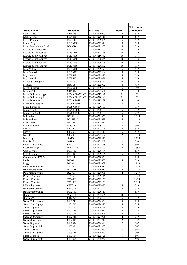|                                       |                           |                                |                                   | Rek. utpris |
|---------------------------------------|---------------------------|--------------------------------|-----------------------------------|-------------|
| Artikelnamn                           | Artikelkod                | <b>EAN-kod</b>                 | Pack                              | exkl.moms   |
| Lola 42 sage                          | S534255                   | 7340044226077                  | $\overline{2}$                    | 519         |
| Lola 42 silver                        | S534206                   | 7340044228118                  | $\overline{2}$                    | 519         |
| Lotus 44 white                        | P0914401                  | 7340044229856                  | 5                                 | 559         |
| Lovisa 50 gold                        | P0936000                  | 7340044229849                  | 5                                 | 559         |
| Ludde black chrome/opal               | B789510                   | 7340044225803                  | $\overline{4}$                    | 319         |
| Ludwig 44 silver/gold                 | P154406                   | 7340044217105                  | 10                                | 119         |
| Ludwig 44 white/silver                | P0134486                  | 7340044228248                  | 10                                | 119         |
| Ludwig 60 silver/silver               | P0136006                  | 7340044210342                  | 10                                | 143         |
| Ludwig 60 white/silver                | P0136086                  | 7340044228255                  | 10                                | 143         |
| Ludwig 80 silver/gold                 | P0138045                  | 7340044206895                  | 10                                | 159         |
| Ludwig 80 white/silver                | P0138086                  | 7340044228262                  | 10                                | 159         |
| Maja 60 black                         | P0896010                  | 7340044229498                  | 5                                 | 559         |
| Maja 60 gold                          | P0896011                  | 7340044229504                  | 5                                 | 559         |
| Maja 60 red                           | P0896095                  | 7340044229870                  | 5                                 | 559         |
| Maja 60 white                         | P0896001                  | 7340044229481                  | 5                                 | 559         |
| Mange 80 grey/gold                    | P0908005                  | 7340044229542                  | 10                                | 183         |
| Manuela                               | <b>B</b> 10305            | 7340044225902                  | $\overline{4}$                    | 439         |
| Marta 60 brown<br>Maurice 50          | P0926000                  | 7340044229863                  | 5                                 | 799         |
| Micro 20 battery copper               | S445002<br>P074012062/BAT | 7340044223601<br>7340044217181 | $\overline{2}$<br>$\overline{15}$ | 719<br>63   |
| Micro 20 battery gold                 | P074012011/BAT            | 7340044220280                  | 15                                | 63          |
| Micro 80 copper                       | P075018062                | 7340044217198                  | 5                                 | 199         |
| Micro 8x20 copper                     | P0760115062               | 7340044217204                  | 5                                 | 239         |
| Micro Flower 80                       | P075018047                | 7340044220303                  | 5                                 | 159         |
| Micro Star 80                         | P075018000                | 7340044220358                  | 5                                 | 159         |
| Micro Star 8x20                       | P0760115000               | 7340044220365                  | 5                                 | 207         |
| Milano brass                          | B7158913                  | 7340044225636                  | $\overline{4}$                    | 1 1 1 9     |
| Milano chrome                         | B7158917                  | 7340044225629                  | $\overline{4}$                    | 1 1 1 9     |
| Miss Crane                            | B17223                    | 7340044227616                  | $\overline{2}$                    | 1519        |
| Molly 44 white                        | P0834401                  | 7340044229320                  | 5                                 | 399         |
| Nina 19                               | S401910                   | 7340044223526                  | 6                                 | 559         |
| Nina 29                               | S402810                   | 7340044223519                  | 6                                 | 879         |
| Nina 40                               | S404010                   | 7340044223502                  | $\overline{c}$                    | 1 3 5 9     |
| Noel Large                            | J064001                   | 7340044228576                  | 1                                 | 1 0 3 9     |
| Noel Small                            | J063101                   | 7340044228569                  | $\overline{2}$                    | 799         |
| Olivia - set of 8 pcs                 | CH0713                    | 7340044227548                  | $\overline{4}$                    | 599         |
| Oscar ash large                       | B2070L58                  | 7340044225797                  | $\overline{4}$                    | 1 5 9 9     |
| Oslo 60 white<br>Oslo 80 white        | P0816001<br>P0818001      | 7340044228774<br>7340044229306 | 5<br>5                            | 639<br>879  |
| Outdoor cable E27 5m                  | U1310U                    | 7340044228859                  | 1                                 | 239         |
| Paula                                 | B17036                    | 7340044227630                  | $\overline{4}$                    | 719         |
| Peggy                                 | B13316                    | 7340044229009                  | $\overline{2}$                    | 1839        |
| Pelle pendant white                   | T <sub>227001</sub>       | 7340044226985                  | $\overline{c}$                    | 1 0 3 9     |
| Pelle reading black                   | B227010                   | 7340044226954                  | $\overline{2}$                    | 1 2 7 9     |
| Pelle reading white                   | B227001                   | 7340044226961                  | $\overline{2}$                    | 1 2 7 9     |
| Prisma 35 white                       | T253501                   | 7340044229146                  | 1                                 | 1 3 5 9     |
| Prisma 45 white                       | T254501                   | 7340044229153                  | $\mathbf{1}$                      | 1679        |
| Prisma 55 white                       | T255501                   | 7340044229160                  | $\mathbf{1}$                      | 2 1 5 9     |
| REX shiny brass                       | CH0313                    | 7340044227487                  | 4                                 | 319         |
| REX shiny chrome                      | CH0317                    | 7340044227494                  | $\overline{4}$                    | 319         |
| Reykjavik 60 white                    | P0826001                  | 7340044229313                  | 5                                 | 639         |
| Ringo                                 | WV1602                    | 7340044223656                  | 10                                | 23          |
| Ronald 29                             | S412954                   | 7340044226169                  | 6                                 | 319         |
| Sanna 17 burgundy                     | S101748                   | 7340044224868                  | $\overline{4}$                    | 215         |
| Sanna 17 dark grey                    | S101705                   | 7340044224875                  | $\overline{4}$                    | 215         |
| Sanna 17 green                        | S101704                   | 7340044224851                  | $\overline{4}$                    | 215         |
| Sanna 17 pale pink<br>Sanna 17 silver | S101766<br>S101706        | 7340044225919<br>7340044225926 | $\overline{4}$<br>$\overline{4}$  | 215<br>215  |
| Sanna 28 burgundy                     | S102848                   | 7340044224905                  | $\overline{2}$                    | 367         |
| Sanna 28 dark grey                    | S102805                   | 7340044224912                  | $\sqrt{2}$                        | 367         |
| Sanna 28 green                        | S102804                   | 7340044224899                  | 2                                 | 367         |
| Sanna 28 pale pink                    | S102866                   | 7340044225933                  | $\overline{2}$                    | 367         |
| Sanna 28 silver                       | S102806                   | 7340044225940                  | $\sqrt{2}$                        | 367         |
| Sanna 38 burgundy                     | S103848                   | 7340044224950                  | 1                                 | 503         |
| Sanna 38 green                        | S103804                   | 7340044225421                  | $\mathbf{1}$                      | 503         |
| Sanna 38 pale pink                    | S103866                   | 7340044225957                  | 1                                 | 503         |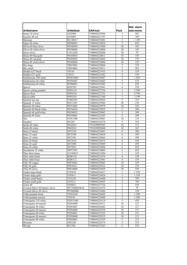|                                 |                       |                          |                | Rek. utpris       |
|---------------------------------|-----------------------|--------------------------|----------------|-------------------|
| Artikelnamn<br>Sanna 38 silver  | Artikelkod<br>S103806 | EAN-kod<br>7340044225964 | Pack<br>1      | exkl.moms<br>503  |
| Scarlett 40 red                 | S554095               | 7340044227197            | 1              | 399               |
| Sherman                         | B1148417              | 7340044225681            | 2              | 1 1 9 9           |
| Signe 60 white                  | P0996001              | 7340044230029            | 5              | 639               |
| Silvia 60 blue/silver           | P0346054              | 7340044223960            | 10             | 143               |
| Silvia 60 white/silver          | P0346086              | 7340044224004            | 10             | 143               |
| Sirius silver                   | F1412220              | 7340044220204            | 10             | 79                |
| Skina 80 blue/gold              | P0368054              | 7340044224011            | 10             | 159               |
| Skina 80 red/gold               | P0368095              | 7340044224042            | 10             | 159               |
| Skina 80 white/silver           | P0368086              | 7340044224066            | 10             | 159               |
| Sky large                       | T0055801              | 7340044228804            | 5              | 719               |
| Sky small                       | T0054001              | 7340044228811            | 5              | 583               |
| Sladdis E27 black               | $\overline{V0110}$    | 7340044221935            | $\overline{4}$ | 159               |
| Sladdis E27 gold                | V0213                 | 7340044221942            | $\overline{4}$ | 159               |
| Snöblomma 100 white             | P03010001             | 7340044229887            | 5              | 1 4 3 9           |
| Snöblomma 44 white              | P0304401              | 7340044226602            | 5              | 519               |
| Snöblomma 68 white              | P0306801              | 7340044222482            | 5              | 639               |
| Spin-it                         | B207201               | 7340044225841            | 4              | 239               |
| Spoon ceiling pendant           | HW0110                | 7340044227326            | $\mathbf{1}$   | $\frac{1}{5}$ 599 |
| Spoon floor                     | HW0210                | 7340044227333            | 1              | 4799              |
| Spoon table                     | HW0310                | 7340044227340            | 1              | $3\overline{199}$ |
| Sputnik top star                | P1002501              | 7340044230036            | 5              | 319               |
| Sputnik 15 white                | P0351501              | 7340044229986            | 20             | 159               |
| Sputnik 30 white                | P0353001              | 7340044229979            | 10             | 239               |
| Sputnik 60 black/white          | P0356010              | 7340044229955            | 5              | 399               |
| Sputnik 60 gold/white           | P0356012              | 7340044229962            | 5              | 399               |
| Sputnik 60 white                | P0356001              | 7340044222505            | 5              | 399               |
| Star                            | P1051300              | 7340044230081            | 10             | 119               |
| Stardust                        | J01245                | 7340044210274            | 5              | 319               |
| Stella 60 white                 | P042010               | 7391699099585            | 10             | 127               |
| Stella 80 white                 | P045010               | 7391699099608            | 10             | 167               |
| Stina 23 black                  | S072310               | 7340044229641            | 6              | 399               |
| Stina 23 sand                   | S072390               | 7340044229658            | 6              | 399               |
| Stina 23 white                  | S072301               | 7340044229665            | 6              | 399               |
| Stina 26 black                  | S072610               | 7340044229672            | 6              | 439               |
| Stina 26 sand                   | S072690               | 7340044229689            | 6              | 439               |
| Stina 26 white                  | S072601               | 7340044229696            | 6              | 439               |
| Stockholm 35 white              | P0973501              | 7340044230005            | 5              | 639               |
| Theo floor brass                | G1543012              | 7340044221904            | 1              | 319               |
| Theo table black                | B206110               | 7340044221874            | $\overline{4}$ | 159               |
| Theo table brass                | B206112               | 7340044221881            | $\overline{4}$ | 159               |
| Tilly 60 copper                 | P0876062              | 7340044229405            | 10             | 239               |
| Tilly 60 gold                   | P0876011              | 7340044229412            | 10             | 239               |
| Tilly 60 silver                 | P0876006              | 7340044229429            | 10             | 239               |
| Tindra large black              | J195810               | 7340044224417            | $\mathbf{1}$   | 1 3 5 9           |
| Tindra large gold               | J195811               | 7340044224424            | $\mathbf{1}$   | 1 359             |
| Tindra small black              | J193210               | 7340044224448            | 2              | 799               |
| Tindra small gold               | J193211               | 7340044224455            | 2              | 799               |
| Trana 40                        | S584021               | 7340044227234            | $\mathbf{1}$   | 439               |
| Twisted Micro 48 battery silver | P07704806/BAT         | 7340044224479            | 5              | 79                |
| Twisted Micro 80 silver         | P07808006             | 7340044224486            | 5              | 199               |
| Vilda pendant black             | T5853610              | 7340044226695            | 2              | 1599              |
| Vilda pendant natural           | T58536                | 7340044225889            | $\overline{2}$ | 1599              |
| Vintergatan 118 white           | P20511801             | 7340044224110            | 5              | 439               |
| Vintergatan 44 natural          | P2054400              | 7340044229511            | 10             | 127               |
| Vintergatan 44 white            | P2054401              | 7340044226442            | 10             | 127               |
| Vintergatan 60 natural          | P2056000              | 7340044229528            | 10             | 151               |
| Vintergatan 60 white            | P2056001              | 7340044222222            | 10             | 151               |
| Vintergatan 80 natural          | P2058000              | 7340044229535            | 10             | 215               |
| Vintergatan 80 white            | P2058001              | 7340044222239            | 5              | 215               |
| Winston                         | J502320               | 7340044226176            | 5              | 519               |
| Woody                           | B15766                | 7340044227623            | $\overline{c}$ | 559               |